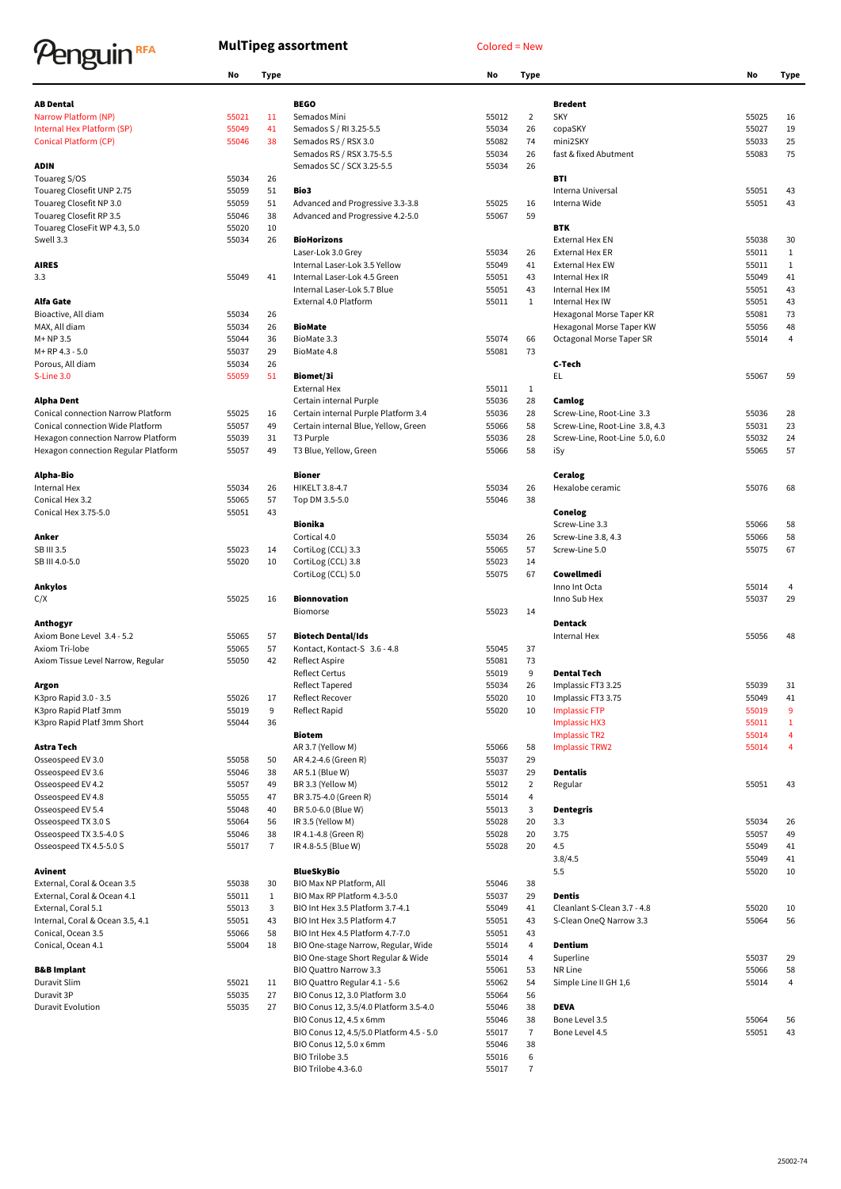## Penguin<sup>RFA</sup>

## **MulTipeg assortment** Colored = New

|                                           | No    | <b>Type</b>    |                                          | No    | <b>Type</b>    |                                | No    | Type           |
|-------------------------------------------|-------|----------------|------------------------------------------|-------|----------------|--------------------------------|-------|----------------|
| <b>AB Dental</b>                          |       |                | <b>BEGO</b>                              |       |                | <b>Bredent</b>                 |       |                |
| Narrow Platform (NP)                      | 55021 | 11             | Semados Mini                             | 55012 | $\overline{2}$ | <b>SKY</b>                     | 55025 | 16             |
| Internal Hex Platform (SP)                | 55049 | 41             | Semados S / RI 3.25-5.5                  | 55034 | 26             | copaSKY                        | 55027 | 19             |
| <b>Conical Platform (CP)</b>              | 55046 | 38             | Semados RS / RSX 3.0                     | 55082 | 74             | mini2SKY                       | 55033 | 25             |
|                                           |       |                | Semados RS / RSX 3.75-5.5                | 55034 | 26             | fast & fixed Abutment          | 55083 | 75             |
| <b>ADIN</b>                               |       |                | Semados SC / SCX 3.25-5.5                | 55034 | 26             |                                |       |                |
| Touareg S/OS                              | 55034 | 26             |                                          |       |                | BTI                            |       |                |
| Touareg Closefit UNP 2.75                 | 55059 | 51             | Bio3                                     |       |                | Interna Universal              | 55051 | 43             |
| Touareg Closefit NP 3.0                   | 55059 | 51             | Advanced and Progressive 3.3-3.8         | 55025 | 16             | Interna Wide                   | 55051 | 43             |
| Touareg Closefit RP 3.5                   | 55046 | 38             | Advanced and Progressive 4.2-5.0         | 55067 | 59             |                                |       |                |
| Touareg CloseFit WP 4.3, 5.0              | 55020 | 10             |                                          |       |                | <b>BTK</b>                     |       |                |
| Swell 3.3                                 | 55034 | 26             | <b>BioHorizons</b>                       |       |                | <b>External Hex EN</b>         | 55038 | 30             |
|                                           |       |                | Laser-Lok 3.0 Grey                       | 55034 | 26             | <b>External Hex ER</b>         | 55011 | $\mathbf{1}$   |
| <b>AIRES</b>                              |       |                | Internal Laser-Lok 3.5 Yellow            | 55049 | 41             | <b>External Hex EW</b>         | 55011 | $\mathbf{1}$   |
| 3.3                                       | 55049 | 41             | Internal Laser-Lok 4.5 Green             | 55051 | 43             | Internal Hex IR                | 55049 | 41             |
|                                           |       |                | Internal Laser-Lok 5.7 Blue              | 55051 | 43             | Internal Hex IM                | 55051 | 43             |
| Alfa Gate                                 |       |                | External 4.0 Platform                    | 55011 | $\mathbf{1}$   | Internal Hex IW                | 55051 | 43             |
| Bioactive, All diam                       | 55034 | 26             |                                          |       |                | Hexagonal Morse Taper KR       | 55081 | 73             |
| MAX, All diam                             | 55034 | 26             | <b>BioMate</b>                           |       |                | Hexagonal Morse Taper KW       | 55056 | 48             |
| $M+NP$ 3.5                                | 55044 | 36             | BioMate 3.3                              | 55074 | 66             | Octagonal Morse Taper SR       | 55014 | 4              |
| M+RP 4.3 - 5.0                            | 55037 | 29             | BioMate 4.8                              | 55081 | 73             |                                |       |                |
| Porous, All diam                          | 55034 | 26             |                                          |       |                | C-Tech                         |       |                |
| S-Line 3.0                                | 55059 | 51             | Biomet/3i                                |       |                | EL                             | 55067 | 59             |
|                                           |       |                | <b>External Hex</b>                      | 55011 | $\mathbf{1}$   |                                |       |                |
| <b>Alpha Dent</b>                         |       |                | Certain internal Purple                  | 55036 | 28             | Camlog                         |       |                |
| <b>Conical connection Narrow Platform</b> | 55025 | 16             | Certain internal Purple Platform 3.4     | 55036 | 28             | Screw-Line, Root-Line 3.3      | 55036 | 28             |
| Conical connection Wide Platform          | 55057 | 49             | Certain internal Blue, Yellow, Green     | 55066 | 58             | Screw-Line, Root-Line 3.8, 4.3 | 55031 | 23             |
| Hexagon connection Narrow Platform        | 55039 | 31             | T <sub>3</sub> Purple                    | 55036 | 28             | Screw-Line, Root-Line 5.0, 6.0 | 55032 | 24             |
| Hexagon connection Regular Platform       | 55057 | 49             | T3 Blue, Yellow, Green                   | 55066 | 58             | iSy                            | 55065 | 57             |
|                                           |       |                |                                          |       |                |                                |       |                |
| Alpha-Bio                                 |       |                | Bioner                                   |       |                | Ceralog                        |       |                |
| Internal Hex                              | 55034 | 26             | <b>HIKELT 3.8-4.7</b>                    | 55034 | 26             | Hexalobe ceramic               | 55076 | 68             |
| Conical Hex 3.2                           | 55065 | 57             | Top DM 3.5-5.0                           | 55046 | 38             |                                |       |                |
| Conical Hex 3.75-5.0                      | 55051 | 43             |                                          |       |                | Conelog                        |       |                |
|                                           |       |                | <b>Bionika</b>                           |       |                | Screw-Line 3.3                 | 55066 | 58             |
| Anker                                     |       |                | Cortical 4.0                             | 55034 | 26             | Screw-Line 3.8, 4.3            | 55066 | 58             |
| SB III 3.5                                | 55023 | 14             | CortiLog (CCL) 3.3                       | 55065 | 57             | Screw-Line 5.0                 | 55075 | 67             |
| SB III 4.0-5.0                            | 55020 | 10             | CortiLog (CCL) 3.8                       | 55023 | 14             |                                |       |                |
|                                           |       |                | CortiLog (CCL) 5.0                       | 55075 | 67             | Cowellmedi                     |       |                |
| Ankylos                                   |       |                |                                          |       |                | Inno Int Octa                  | 55014 | 4              |
| C/X                                       | 55025 | 16             | <b>Bionnovation</b>                      |       |                | Inno Sub Hex                   | 55037 | 29             |
|                                           |       |                | Biomorse                                 | 55023 | 14             |                                |       |                |
| Anthogyr                                  |       |                |                                          |       |                | Dentack                        |       |                |
| Axiom Bone Level 3.4 - 5.2                | 55065 | 57             | <b>Biotech Dental/Ids</b>                |       |                | Internal Hex                   | 55056 | 48             |
| Axiom Tri-lobe                            | 55065 | 57             | Kontact, Kontact-S 3.6 - 4.8             | 55045 | 37             |                                |       |                |
| Axiom Tissue Level Narrow, Regular        | 55050 | 42             | <b>Reflect Aspire</b>                    | 55081 | 73             |                                |       |                |
|                                           |       |                | <b>Reflect Certus</b>                    | 55019 | 9              | <b>Dental Tech</b>             |       |                |
| Argon                                     |       |                | Reflect Tapered                          | 55034 | 26             | Implassic FT3 3.25             | 55039 | 31             |
| K3pro Rapid 3.0 - 3.5                     | 55026 | 17             | Reflect Recover                          | 55020 | 10             | Implassic FT3 3.75             | 55049 | 41             |
| K3pro Rapid Platf 3mm                     | 55019 | 9              | Reflect Rapid                            | 55020 | 10             | <b>Implassic FTP</b>           | 55019 | 9              |
| K3pro Rapid Platf 3mm Short               | 55044 | 36             |                                          |       |                | <b>Implassic HX3</b>           | 55011 | 1              |
|                                           |       |                | <b>Biotem</b>                            |       |                | <b>Implassic TR2</b>           | 55014 | 4              |
| Astra Tech                                |       |                | AR 3.7 (Yellow M)                        | 55066 | 58             | <b>Implassic TRW2</b>          | 55014 | $\overline{4}$ |
| Osseospeed EV 3.0                         | 55058 | 50             | AR 4.2-4.6 (Green R)                     | 55037 | 29             |                                |       |                |
| Osseospeed EV 3.6                         | 55046 | 38             | AR 5.1 (Blue W)                          | 55037 | 29             | Dentalis                       |       |                |
| Osseospeed EV 4.2                         | 55057 | 49             | BR 3.3 (Yellow M)                        | 55012 | $\overline{2}$ | Regular                        | 55051 | 43             |
| Osseospeed EV 4.8                         | 55055 | 47             | BR 3.75-4.0 (Green R)                    | 55014 | 4              |                                |       |                |
| Osseospeed EV 5.4                         | 55048 | 40             | BR 5.0-6.0 (Blue W)                      | 55013 | 3              | Dentegris                      |       |                |
| Osseospeed TX 3.0 S                       | 55064 | 56             | IR 3.5 (Yellow M)                        | 55028 | 20             | 3.3                            | 55034 | 26             |
| Osseospeed TX 3.5-4.0 S                   | 55046 | 38             | IR 4.1-4.8 (Green R)                     | 55028 | 20             | 3.75                           | 55057 | 49             |
| Osseospeed TX 4.5-5.0 S                   | 55017 | $\overline{7}$ | IR 4.8-5.5 (Blue W)                      | 55028 | 20             | 4.5                            | 55049 | 41             |
|                                           |       |                |                                          |       |                | 3.8/4.5                        | 55049 | 41             |
| Avinent                                   |       |                | <b>BlueSkyBio</b>                        |       |                | 5.5                            | 55020 | 10             |
| External, Coral & Ocean 3.5               | 55038 | 30             | BIO Max NP Platform, All                 | 55046 | 38             |                                |       |                |
| External, Coral & Ocean 4.1               | 55011 | $\mathbf{1}$   | BIO Max RP Platform 4.3-5.0              | 55037 | 29             | Dentis                         |       |                |
| External, Coral 5.1                       | 55013 | 3              | BIO Int Hex 3.5 Platform 3.7-4.1         | 55049 | 41             | Cleanlant S-Clean 3.7 - 4.8    | 55020 | 10             |
| Internal, Coral & Ocean 3.5, 4.1          | 55051 | 43             | BIO Int Hex 3.5 Platform 4.7             | 55051 | 43             | S-Clean OneQ Narrow 3.3        | 55064 | 56             |
| Conical, Ocean 3.5                        | 55066 | 58             | BIO Int Hex 4.5 Platform 4.7-7.0         | 55051 | 43             |                                |       |                |
| Conical, Ocean 4.1                        | 55004 | 18             | BIO One-stage Narrow, Regular, Wide      | 55014 | 4              | Dentium                        |       |                |
|                                           |       |                | BIO One-stage Short Regular & Wide       | 55014 | 4              | Superline                      | 55037 | 29             |
| <b>B&amp;B Implant</b>                    |       |                | BIO Quattro Narrow 3.3                   | 55061 | 53             | NR Line                        | 55066 | 58             |
| Duravit Slim                              | 55021 | 11             | BIO Quattro Regular 4.1 - 5.6            | 55062 | 54             | Simple Line II GH 1,6          | 55014 | 4              |
| Duravit 3P                                | 55035 | 27             | BIO Conus 12, 3.0 Platform 3.0           | 55064 | 56             |                                |       |                |
| <b>Duravit Evolution</b>                  | 55035 | 27             | BIO Conus 12, 3.5/4.0 Platform 3.5-4.0   | 55046 | 38             | <b>DEVA</b>                    |       |                |
|                                           |       |                | BIO Conus 12, 4.5 x 6mm                  | 55046 | 38             | Bone Level 3.5                 | 55064 | 56             |
|                                           |       |                | BIO Conus 12, 4.5/5.0 Platform 4.5 - 5.0 | 55017 | 7              | Bone Level 4.5                 | 55051 | 43             |
|                                           |       |                | BIO Conus 12, 5.0 x 6mm                  | 55046 | 38             |                                |       |                |
|                                           |       |                | BIO Trilobe 3.5                          | 55016 | 6              |                                |       |                |
|                                           |       |                |                                          |       |                |                                |       |                |

|                                                 | טוו            | 'y he          |                                              | טאו            | , урс        |
|-------------------------------------------------|----------------|----------------|----------------------------------------------|----------------|--------------|
|                                                 |                |                |                                              |                |              |
| BEGO<br>Semados Mini                            |                | $\overline{2}$ | <b>Bredent</b><br><b>SKY</b>                 |                |              |
|                                                 | 55012          | 26             |                                              | 55025          | 16<br>19     |
| Semados S / RI 3.25-5.5<br>Semados RS / RSX 3.0 | 55034<br>55082 | 74             | copaSKY<br>mini2SKY                          | 55027<br>55033 | 25           |
| Semados RS / RSX 3.75-5.5                       | 55034          | 26             | fast & fixed Abutment                        | 55083          | 75           |
| Semados SC / SCX 3.25-5.5                       | 55034          | 26             |                                              |                |              |
|                                                 |                |                | BTI                                          |                |              |
| Bio3                                            |                |                | Interna Universal                            | 55051          | 43           |
| Advanced and Progressive 3.3-3.8                | 55025          | 16             | Interna Wide                                 | 55051          | 43           |
| Advanced and Progressive 4.2-5.0                | 55067          | 59             |                                              |                |              |
|                                                 |                |                | <b>BTK</b>                                   |                |              |
| <b>BioHorizons</b>                              |                |                | <b>External Hex EN</b>                       | 55038          | 30           |
| Laser-Lok 3.0 Grey                              | 55034          | 26             | <b>External Hex ER</b>                       | 55011          | $\mathbf{1}$ |
| Internal Laser-Lok 3.5 Yellow                   | 55049          | 41             | <b>External Hex EW</b>                       | 55011          | 1            |
| Internal Laser-Lok 4.5 Green                    | 55051          | 43             | Internal Hex IR                              | 55049          | 41           |
| Internal Laser-Lok 5.7 Blue                     | 55051          | 43             | Internal Hex IM                              | 55051          | 43           |
| External 4.0 Platform                           | 55011          | $\mathbf{1}$   | Internal Hex IW                              | 55051          | 43           |
|                                                 |                |                | Hexagonal Morse Taper KR                     | 55081          | 73           |
| BioMate                                         |                |                | Hexagonal Morse Taper KW                     | 55056          | 48           |
| BioMate 3.3                                     | 55074          | 66             | Octagonal Morse Taper SR                     | 55014          | 4            |
| BioMate 4.8                                     | 55081          | 73             | C-Tech                                       |                |              |
| Biomet/3i                                       |                |                | EL.                                          | 55067          | 59           |
| <b>External Hex</b>                             | 55011          | 1              |                                              |                |              |
| Certain internal Purple                         | 55036          | 28             | Camlog                                       |                |              |
| Certain internal Purple Platform 3.4            | 55036          | 28             | Screw-Line, Root-Line 3.3                    | 55036          | 28           |
| Certain internal Blue, Yellow, Green            | 55066          | 58             | Screw-Line, Root-Line 3.8, 4.3               | 55031          | 23           |
| T3 Purple                                       | 55036          | 28             | Screw-Line, Root-Line 5.0, 6.0               | 55032          | 24           |
| T3 Blue, Yellow, Green                          | 55066          | 58             | iSy                                          | 55065          | 57           |
|                                                 |                |                |                                              |                |              |
| Bioner                                          |                |                | Ceralog                                      |                |              |
| <b>HIKELT 3.8-4.7</b>                           | 55034          | 26             | Hexalobe ceramic                             | 55076          | 68           |
| Top DM 3.5-5.0                                  | 55046          | 38             |                                              |                |              |
|                                                 |                |                | Conelog                                      |                |              |
| Bionika                                         |                |                | Screw-Line 3.3                               | 55066          | 58           |
| Cortical 4.0                                    | 55034          | 26             | Screw-Line 3.8, 4.3                          | 55066          | 58           |
| CortiLog (CCL) 3.3                              | 55065          | 57             | Screw-Line 5.0                               | 55075          | 67           |
| CortiLog (CCL) 3.8                              | 55023          | 14             |                                              |                |              |
| CortiLog (CCL) 5.0                              | 55075          | 67             | Cowellmedi                                   |                |              |
|                                                 |                |                | Inno Int Octa                                | 55014          | 4            |
| Bionnovation                                    |                |                | Inno Sub Hex                                 | 55037          | 29           |
| <b>Biomorse</b>                                 | 55023          | 14             |                                              |                |              |
|                                                 |                |                | Dentack                                      |                |              |
| <b>Biotech Dental/Ids</b>                       |                |                | <b>Internal Hex</b>                          | 55056          | 48           |
| Kontact, Kontact-S 3.6 - 4.8                    | 55045          | 37             |                                              |                |              |
| <b>Reflect Aspire</b>                           | 55081          | 73             |                                              |                |              |
| <b>Reflect Certus</b>                           | 55019          | 9              | <b>Dental Tech</b>                           |                |              |
| Reflect Tapered                                 | 55034          | 26             | Implassic FT3 3.25                           | 55039          | 31           |
| Reflect Recover                                 | 55020          | 10             | Implassic FT3 3.75                           | 55049          | 41           |
| Reflect Rapid                                   | 55020          | $10\,$         | <b>Implassic FTP</b>                         | 55019          | 9            |
| Biotem                                          |                |                | <b>Implassic HX3</b><br><b>Implassic TR2</b> | 55011          | 1<br>4       |
| AR 3.7 (Yellow M)                               |                | 58             | <b>Implassic TRW2</b>                        | 55014<br>55014 | 4            |
| AR 4.2-4.6 (Green R)                            | 55066<br>55037 | 29             |                                              |                |              |
| AR 5.1 (Blue W)                                 | 55037          | 29             | Dentalis                                     |                |              |
| BR 3.3 (Yellow M)                               | 55012          | 2              | Regular                                      | 55051          | 43           |
| BR 3.75-4.0 (Green R)                           | 55014          | 4              |                                              |                |              |
| BR 5.0-6.0 (Blue W)                             | 55013          | 3              | Dentegris                                    |                |              |
| IR 3.5 (Yellow M)                               | 55028          | 20             | 3.3                                          | 55034          | 26           |
| IR 4.1-4.8 (Green R)                            | 55028          | 20             | 3.75                                         | 55057          | 49           |
| IR 4.8-5.5 (Blue W)                             | 55028          | 20             | 4.5                                          | 55049          | 41           |
|                                                 |                |                | 3.8/4.5                                      | 55049          | 41           |
| BlueSkyBio                                      |                |                | 5.5                                          | 55020          | 10           |
| BIO Max NP Platform, All                        | 55046          | 38             |                                              |                |              |
| BIO Max RP Platform 4.3-5.0                     | 55037          | 29             | Dentis                                       |                |              |
| BIO Int Hex 3.5 Platform 3.7-4.1                | 55049          | 41             | Cleanlant S-Clean 3.7 - 4.8                  | 55020          | 10           |
| BIO Int Hex 3.5 Platform 4.7                    | 55051          | 43             | S-Clean OneQ Narrow 3.3                      | 55064          | 56           |
| BIO Int Hex 4.5 Platform 4.7-7.0                | 55051          | 43             |                                              |                |              |
| BIO One-stage Narrow, Regular, Wide             | 55014          | 4              | Dentium                                      |                |              |
| BIO One-stage Short Regular & Wide              | 55014          | 4              | Superline                                    | 55037          | 29           |
| BIO Quattro Narrow 3.3                          | 55061          | 53             | NR Line                                      | 55066          | 58           |
| BIO Quattro Regular 4.1 - 5.6                   | 55062          | 54             | Simple Line II GH 1,6                        | 55014          | 4            |
| BIO Conus 12, 3.0 Platform 3.0                  | 55064          | 56             |                                              |                |              |
| BIO Conus 12, 3.5/4.0 Platform 3.5-4.0          | 55046          | 38             | DEVA                                         |                |              |
| BIO Conus 12, 4.5 x 6mm                         | 55046          | 38             | Bone Level 3.5                               | 55064          | 56           |
| BIO Conus 12, 4.5/5.0 Platform 4.5 - 5.0        | 55017          | $\overline{7}$ | Bone Level 4.5                               | 55051          | 43           |
| BIO Conus 12, 5.0 x 6mm                         | 55046          | 38             |                                              |                |              |
| BIO Trilobe 3.5                                 | 55016          | 6              |                                              |                |              |
| BIO Trilobe 4.3-6.0                             | 55017          | 7              |                                              |                |              |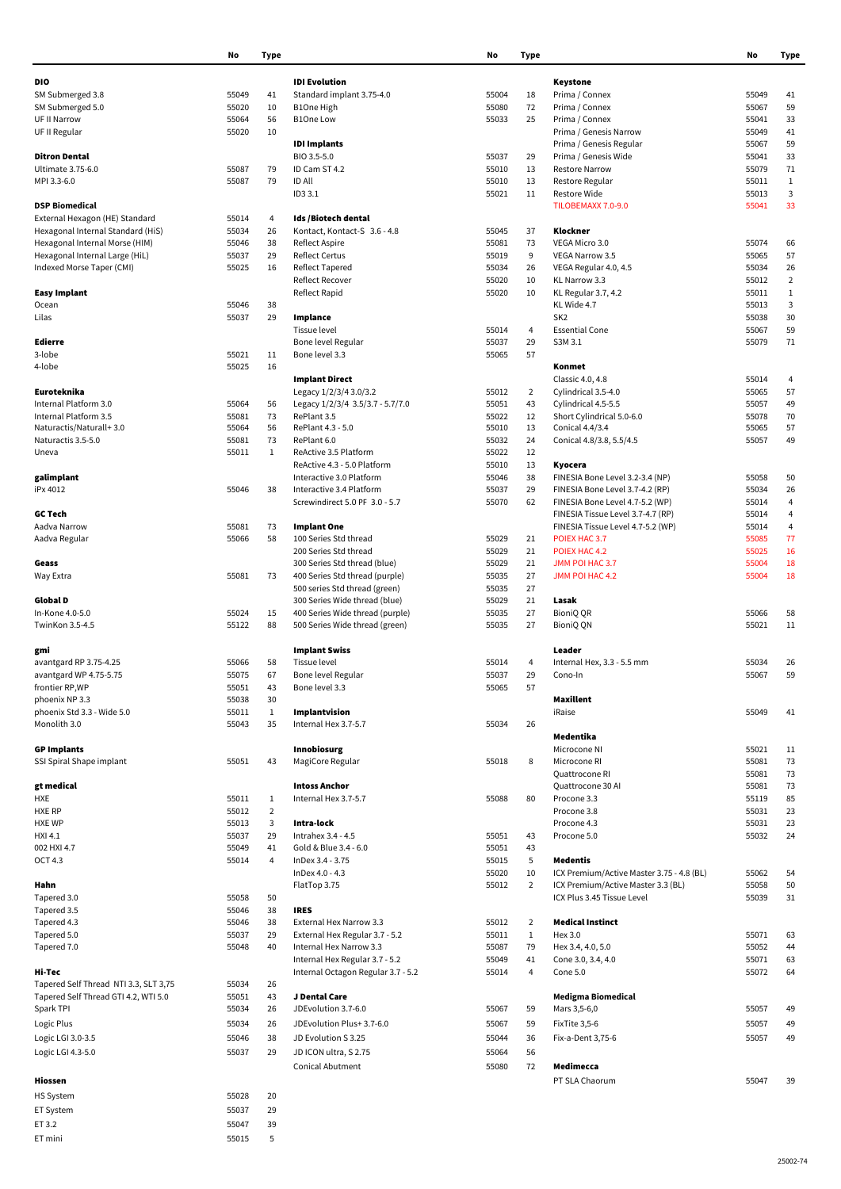|                                                                     | No             | Type           |                                                                | No             | Type           |                                              | No             | Tyr                     |
|---------------------------------------------------------------------|----------------|----------------|----------------------------------------------------------------|----------------|----------------|----------------------------------------------|----------------|-------------------------|
| DIO                                                                 |                |                | <b>IDI</b> Evolution                                           |                |                | Keystone                                     |                |                         |
| SM Submerged 3.8                                                    | 55049          | 41             | Standard implant 3.75-4.0                                      | 55004          | 18             | Prima / Connex                               | 55049          | 41                      |
| SM Submerged 5.0                                                    | 55020          | 10             | B1One High                                                     | 55080          | 72             | Prima / Connex                               | 55067          | 59                      |
| UF II Narrow                                                        | 55064          | 56             | <b>B1One Low</b>                                               | 55033          | 25             | Prima / Connex                               | 55041          | 33                      |
| UF II Regular                                                       | 55020          | 10             |                                                                |                |                | Prima / Genesis Narrow                       | 55049          | 41                      |
|                                                                     |                |                | <b>IDI Implants</b>                                            |                |                | Prima / Genesis Regular                      | 55067          | 59                      |
| <b>Ditron Dental</b>                                                |                |                | BIO 3.5-5.0                                                    | 55037          | 29             | Prima / Genesis Wide                         | 55041          | 33                      |
| Ultimate 3.75-6.0                                                   | 55087          | 79             | ID Cam ST 4.2                                                  | 55010          | 13             | <b>Restore Narrow</b>                        | 55079          | 71                      |
| MPI 3.3-6.0                                                         | 55087          | 79             | <b>ID All</b>                                                  | 55010          | 13             | Restore Regular                              | 55011          | $\mathbf{1}$            |
|                                                                     |                |                | ID3 3.1                                                        | 55021          | 11             | Restore Wide                                 | 55013          | 3                       |
| <b>DSP Biomedical</b>                                               |                |                |                                                                |                |                | TILOBEMAXX 7.0-9.0                           | 55041          | 33                      |
| External Hexagon (HE) Standard                                      | 55014          | $\overline{4}$ | Ids /Biotech dental<br>Kontact, Kontact-S 3.6 - 4.8            |                |                | Klockner                                     |                |                         |
| Hexagonal Internal Standard (HiS)<br>Hexagonal Internal Morse (HIM) | 55034<br>55046 | 26<br>38       | <b>Reflect Aspire</b>                                          | 55045<br>55081 | 37<br>73       | VEGA Micro 3.0                               | 55074          | 66                      |
| Hexagonal Internal Large (HiL)                                      | 55037          | 29             | <b>Reflect Certus</b>                                          | 55019          | 9              | VEGA Narrow 3.5                              | 55065          | 57                      |
| Indexed Morse Taper (CMI)                                           | 55025          | 16             | <b>Reflect Tapered</b>                                         | 55034          | 26             | VEGA Regular 4.0, 4.5                        | 55034          | 26                      |
|                                                                     |                |                | Reflect Recover                                                | 55020          | 10             | KL Narrow 3.3                                | 55012          | $\overline{\mathbf{2}}$ |
| <b>Easy Implant</b>                                                 |                |                | Reflect Rapid                                                  | 55020          | 10             | KL Regular 3.7, 4.2                          | 55011          | $\mathbf{1}$            |
| Ocean                                                               | 55046          | 38             |                                                                |                |                | KL Wide 4.7                                  | 55013          | 3                       |
| Lilas                                                               | 55037          | 29             | Implance                                                       |                |                | SK <sub>2</sub>                              | 55038          | 3 <sub>0</sub>          |
|                                                                     |                |                | Tissue level                                                   | 55014          | 4              | <b>Essential Cone</b>                        | 55067          | 59                      |
| Edierre                                                             |                |                | Bone level Regular                                             | 55037          | 29             | S3M 3.1                                      | 55079          | 71                      |
| 3-lobe                                                              | 55021          | 11             | Bone level 3.3                                                 | 55065          | 57             |                                              |                |                         |
| 4-lobe                                                              | 55025          | 16             |                                                                |                |                | Konmet                                       |                |                         |
|                                                                     |                |                | <b>Implant Direct</b>                                          |                |                | Classic 4.0, 4.8                             | 55014          | 4                       |
| Euroteknika                                                         |                |                | Legacy 1/2/3/4 3.0/3.2                                         | 55012          | $\overline{2}$ | Cylindrical 3.5-4.0                          | 55065          | 57                      |
| Internal Platform 3.0                                               | 55064          | 56             | Legacy 1/2/3/4 3.5/3.7 - 5.7/7.0<br>RePlant 3.5                | 55051          | 43             | Cylindrical 4.5-5.5                          | 55057          | 49                      |
| Internal Platform 3.5<br>Naturactis/Naturall+3.0                    | 55081<br>55064 | 73<br>56       | RePlant 4.3 - 5.0                                              | 55022<br>55010 | 12<br>13       | Short Cylindrical 5.0-6.0<br>Conical 4.4/3.4 | 55078<br>55065 | 7 <sub>0</sub><br>57    |
| Naturactis 3.5-5.0                                                  | 55081          | 73             | RePlant 6.0                                                    | 55032          | 24             | Conical 4.8/3.8, 5.5/4.5                     | 55057          | 49                      |
| Uneva                                                               | 55011          | $\mathbf{1}$   | ReActive 3.5 Platform                                          | 55022          | 12             |                                              |                |                         |
|                                                                     |                |                | ReActive 4.3 - 5.0 Platform                                    | 55010          | 13             | Kyocera                                      |                |                         |
| galimplant                                                          |                |                | Interactive 3.0 Platform                                       | 55046          | 38             | FINESIA Bone Level 3.2-3.4 (NP)              | 55058          | 50                      |
| iPx 4012                                                            | 55046          | 38             | Interactive 3.4 Platform                                       | 55037          | 29             | FINESIA Bone Level 3.7-4.2 (RP)              | 55034          | 26                      |
|                                                                     |                |                | Screwindirect 5.0 PF 3.0 - 5.7                                 | 55070          | 62             | FINESIA Bone Level 4.7-5.2 (WP)              | 55014          | $\overline{4}$          |
| <b>GC Tech</b>                                                      |                |                |                                                                |                |                | FINESIA Tissue Level 3.7-4.7 (RP)            | 55014          | $\overline{4}$          |
| Aadva Narrow                                                        | 55081          | 73             | <b>Implant One</b>                                             |                |                | FINESIA Tissue Level 4.7-5.2 (WP)            | 55014          | $\overline{4}$          |
| Aadva Regular                                                       | 55066          | 58             | 100 Series Std thread                                          | 55029          | 21             | POIEX HAC 3.7                                | 55085          | 77                      |
|                                                                     |                |                | 200 Series Std thread                                          | 55029          | 21             | POIEX HAC 4.2                                | 55025          | 16                      |
| Geass                                                               |                |                | 300 Series Std thread (blue)                                   | 55029          | 21             | JMM POI HAC 3.7                              | 55004          | 18                      |
| Way Extra                                                           | 55081          | 73             | 400 Series Std thread (purple)                                 | 55035          | 27             | JMM POI HAC 4.2                              | 55004          | 18                      |
|                                                                     |                |                | 500 series Std thread (green)<br>300 Series Wide thread (blue) | 55035          | 27<br>21       |                                              |                |                         |
| Global D<br>In-Kone 4.0-5.0                                         | 55024          | 15             | 400 Series Wide thread (purple)                                | 55029<br>55035 | 27             | Lasak<br>BioniQ QR                           | 55066          | 58                      |
| TwinKon 3.5-4.5                                                     | 55122          | 88             | 500 Series Wide thread (green)                                 | 55035          | 27             | BioniQ QN                                    | 55021          | 11                      |
| gmi                                                                 |                |                | <b>Implant Swiss</b>                                           |                |                | Leader                                       |                |                         |
| avantgard RP 3.75-4.25                                              | 55066          | 58             | <b>Tissue level</b>                                            | 55014          | $\overline{4}$ | Internal Hex, 3.3 - 5.5 mm                   | 55034          | 26                      |
| avantgard WP 4.75-5.75                                              | 55075          | 67             | Bone level Regular                                             | 55037          | 29             | Cono-In                                      | 55067          | 59                      |
| frontier RP,WP                                                      | 55051          | 43             | Bone level 3.3                                                 | 55065          | 57             |                                              |                |                         |
| phoenix NP 3.3                                                      | 55038          | 30             |                                                                |                |                | Maxillent                                    |                |                         |
| phoenix Std 3.3 - Wide 5.0                                          | 55011          | $\mathbf{1}$   | Implantvision                                                  |                |                | iRaise                                       | 55049          | 41                      |
| Monolith 3.0                                                        | 55043          | 35             | Internal Hex 3.7-5.7                                           | 55034          | 26             |                                              |                |                         |
|                                                                     |                |                |                                                                |                |                | Medentika                                    |                |                         |
| <b>GP Implants</b>                                                  |                |                | Innobiosurg                                                    |                |                | Microcone NI                                 | 55021          | $_{11}$                 |
| SSI Spiral Shape implant                                            | 55051          | 43             | MagiCore Regular                                               | 55018          | 8              | Microcone RI                                 | 55081          | 73                      |
|                                                                     |                |                |                                                                |                |                | Quattrocone RI                               | 55081          | 73                      |
| gt medical                                                          |                |                | <b>Intoss Anchor</b>                                           |                |                | Quattrocone 30 Al                            | 55081          | 73                      |
| HXE                                                                 | 55011          | $\mathbf{1}$   | Internal Hex 3.7-5.7                                           | 55088          | 80             | Procone 3.3                                  | 55119          | 85                      |
| <b>HXE RP</b>                                                       | 55012          | $\overline{2}$ |                                                                |                |                | Procone 3.8                                  | 55031          | 23                      |
| <b>HXE WP</b>                                                       | 55013<br>55037 | 3<br>29        | Intra-lock                                                     |                |                | Procone 4.3                                  | 55031          | 23                      |
| HXI 4.1<br>002 HXI 4.7                                              | 55049          | 41             | Intrahex 3.4 - 4.5<br>Gold & Blue 3.4 - 6.0                    | 55051<br>55051 | 43<br>43       | Procone 5.0                                  | 55032          | 2 <sup>2</sup>          |
| OCT 4.3                                                             | 55014          | $\overline{4}$ | InDex 3.4 - 3.75                                               | 55015          | 5              | Medentis                                     |                |                         |
|                                                                     |                |                | InDex 4.0 - 4.3                                                | 55020          | 10             | ICX Premium/Active Master 3.75 - 4.8 (BL)    | 55062          | 54                      |
| Hahn                                                                |                |                | FlatTop 3.75                                                   | 55012          | $\overline{2}$ | ICX Premium/Active Master 3.3 (BL)           | 55058          | 50                      |
| Tapered 3.0                                                         | 55058          | 50             |                                                                |                |                | ICX Plus 3.45 Tissue Level                   | 55039          | 31                      |
| Tapered 3.5                                                         | 55046          | 38             | <b>IRES</b>                                                    |                |                |                                              |                |                         |
| Tapered 4.3                                                         | 55046          | 38             | External Hex Narrow 3.3                                        | 55012          | $\overline{2}$ | <b>Medical Instinct</b>                      |                |                         |
| Tapered 5.0                                                         | 55037          | 29             | External Hex Regular 3.7 - 5.2                                 | 55011          | $\mathbf{1}$   | Hex 3.0                                      | 55071          | 63                      |
| Tapered 7.0                                                         | 55048          | 40             | Internal Hex Narrow 3.3                                        | 55087          | 79             | Hex 3.4, 4.0, 5.0                            | 55052          | 44                      |
|                                                                     |                |                | Internal Hex Regular 3.7 - 5.2                                 | 55049          | 41             | Cone 3.0, 3.4, 4.0                           | 55071          | 63                      |
| Hi-Tec                                                              |                |                | Internal Octagon Regular 3.7 - 5.2                             | 55014          | 4              | Cone 5.0                                     | 55072          | 64                      |
| Tapered Self Thread NTI 3.3, SLT 3,75                               | 55034          | 26             |                                                                |                |                |                                              |                |                         |
| Tapered Self Thread GTI 4.2, WTI 5.0                                | 55051          | 43             | J Dental Care                                                  |                |                | Medigma Biomedical                           |                |                         |
| Spark TPI                                                           | 55034          | 26             | JDEvolution 3.7-6.0                                            | 55067          | 59             | Mars 3,5-6,0                                 | 55057          | 49                      |
| Logic Plus                                                          | 55034          | 26             | JDEvolution Plus+ 3.7-6.0                                      | 55067          | 59             | FixTite 3,5-6                                | 55057          | 49                      |
| Logic LGI 3.0-3.5                                                   | 55046          | 38             | JD Evolution S 3.25                                            | 55044          | 36             | Fix-a-Dent 3,75-6                            | 55057          | 49                      |
| Logic LGI 4.3-5.0                                                   | 55037          | 29             | JD ICON ultra, S 2.75                                          | 55064          | 56             |                                              |                |                         |
|                                                                     |                |                | <b>Conical Abutment</b>                                        | 55080          | 72             | Medimecca                                    |                |                         |
| Hiossen                                                             |                |                |                                                                |                |                | PT SLA Chaorum                               | 55047          | 39                      |
|                                                                     |                |                |                                                                |                |                |                                              |                |                         |
| HS System                                                           | 55028          | 20             |                                                                |                |                |                                              |                |                         |
| ET System                                                           | 55037          | 29             |                                                                |                |                |                                              |                |                         |
| ET 3.2                                                              | 55047          | 39             |                                                                |                |                |                                              |                |                         |
| ET mini                                                             | 55015          | 5              |                                                                |                |                |                                              |                |                         |

| 'pe             |                                           | No    | Type |
|-----------------|-------------------------------------------|-------|------|
|                 | Keystone                                  |       |      |
| L8              | Prima / Connex                            | 55049 | 41   |
| 72              | Prima / Connex                            | 55067 | 59   |
| 25              | Prima / Connex                            | 55041 | 33   |
|                 | Prima / Genesis Narrow                    | 55049 | 41   |
|                 | Prima / Genesis Regular                   | 55067 | 59   |
| 29              | Prima / Genesis Wide                      | 55041 | 33   |
| L3              | <b>Restore Narrow</b>                     | 55079 | 71   |
| L3              | Restore Regular                           | 55011 | 1    |
| 11              | <b>Restore Wide</b>                       | 55013 | 3    |
|                 | TILOBEMAXX 7.0-9.0                        | 55041 | 33   |
| 37              | Klockner                                  |       |      |
| 73              | VEGA Micro 3.0                            | 55074 | 66   |
| 9               | <b>VEGA Narrow 3.5</b>                    | 55065 | 57   |
| 26              | VEGA Regular 4.0, 4.5                     | 55034 | 26   |
| LO              | KL Narrow 3.3                             | 55012 | 2    |
| LO              | KL Regular 3.7, 4.2                       | 55011 | 1    |
|                 | KL Wide 4.7                               | 55013 | 3    |
|                 | SK <sub>2</sub>                           | 55038 | 30   |
| 4               | <b>Essential Cone</b>                     | 55067 | 59   |
| 29              | S3M 3.1                                   | 55079 | 71   |
| 57              |                                           |       |      |
|                 | Konmet                                    |       |      |
|                 | Classic 4.0, 4.8                          | 55014 | 4    |
| 2               | Cylindrical 3.5-4.0                       | 55065 | 57   |
| 13              | Cylindrical 4.5-5.5                       | 55057 | 49   |
| 12              | Short Cylindrical 5.0-6.0                 | 55078 | 70   |
| L3              | Conical 4.4/3.4                           | 55065 | 57   |
| 14              | Conical 4.8/3.8, 5.5/4.5                  | 55057 | 49   |
| 12              |                                           |       |      |
| L3              | Kyocera                                   |       |      |
| 38              | FINESIA Bone Level 3.2-3.4 (NP)           | 55058 | 50   |
| 29              | FINESIA Bone Level 3.7-4.2 (RP)           | 55034 | 26   |
| 52              | FINESIA Bone Level 4.7-5.2 (WP)           | 55014 | 4    |
|                 | FINESIA Tissue Level 3.7-4.7 (RP)         | 55014 | 4    |
|                 | FINESIA Tissue Level 4.7-5.2 (WP)         | 55014 | 4    |
| 21              | POIEX HAC 3.7                             | 55085 | 77   |
| $\overline{21}$ | POIEX HAC 4.2                             | 55025 | 16   |
| $^{21}$         | JMM POI HAC 3.7                           | 55004 | 18   |
| 27<br>27        | JMM POI HAC 4.2                           | 55004 | 18   |
| $^{21}$         | Lasak                                     |       |      |
| 27              | <b>BioniQ QR</b>                          | 55066 | 58   |
| 27              | BioniQ QN                                 | 55021 | 11   |
|                 | Leader                                    |       |      |
| 4               | Internal Hex, 3.3 - 5.5 mm                | 55034 | 26   |
| 29              | Cono-In                                   | 55067 | 59   |
| 57              |                                           |       |      |
|                 | Maxillent<br>iRaise                       | 55049 | 41   |
| 26              |                                           |       |      |
|                 | Medentika                                 |       |      |
|                 | Microcone NI                              | 55021 | 11   |
| 8               | Microcone RI                              | 55081 | 73   |
|                 | Quattrocone RI                            | 55081 | 73   |
|                 | Quattrocone 30 Al                         | 55081 | 73   |
| 30              | Procone 3.3                               | 55119 | 85   |
|                 | Procone 3.8                               | 55031 | 23   |
|                 | Procone 4.3                               | 55031 | 23   |
| 13              | Procone 5.0                               | 55032 | 24   |
| 13              |                                           |       |      |
| 5               | Medentis                                  |       |      |
| LO.             | ICX Premium/Active Master 3.75 - 4.8 (BL) | 55062 | 54   |
| 2               | ICX Premium/Active Master 3.3 (BL)        | 55058 | 50   |
|                 | ICX Plus 3.45 Tissue Level                | 55039 | 31   |
| 2               | <b>Medical Instinct</b>                   |       |      |
| 1               | Hex 3.0                                   | 55071 | 63   |
| 79              | Hex 3.4, 4.0, 5.0                         | 55052 | 44   |
| 11              | Cone 3.0, 3.4, 4.0                        | 55071 | 63   |
| 4               | Cone 5.0                                  | 55072 | 64   |
|                 | Medigma Biomedical                        |       |      |
| 59              | Mars 3,5-6,0                              | 55057 | 49   |
| 59              | FixTite 3,5-6                             | 55057 | 49   |
|                 |                                           |       |      |
| 36              | Fix-a-Dent 3,75-6                         | 55057 | 49   |
| 56              |                                           |       |      |
| 72              | Medimecca                                 |       |      |
|                 | PT SLA Chaorum                            | 55047 | 39   |
|                 |                                           |       |      |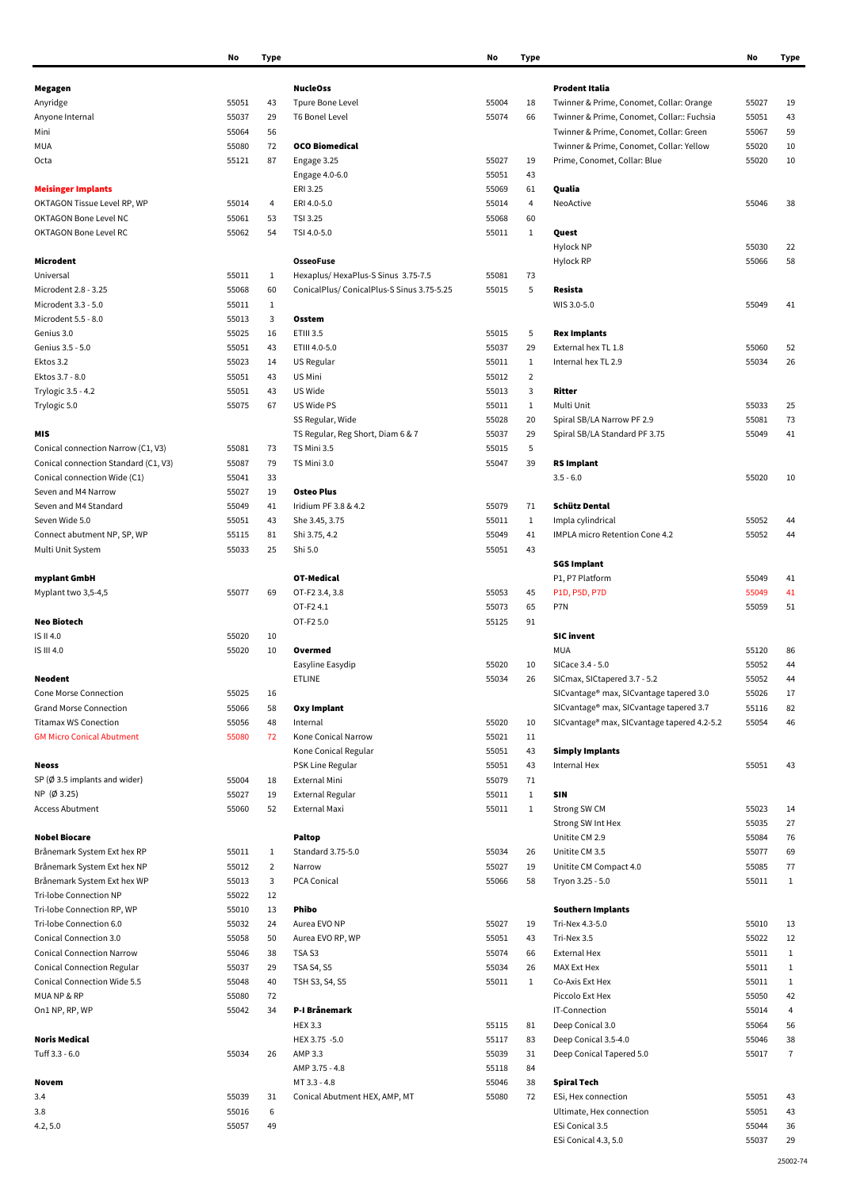|                                         | No    | <b>Type</b>    |                                           | No    | <b>Type</b>    |                                             | No    | Tyr            |
|-----------------------------------------|-------|----------------|-------------------------------------------|-------|----------------|---------------------------------------------|-------|----------------|
|                                         |       |                |                                           |       |                |                                             |       |                |
| Megagen                                 |       |                | <b>NucleOss</b>                           |       |                | <b>Prodent Italia</b>                       |       |                |
| Anyridge                                | 55051 | 43             | Tpure Bone Level                          | 55004 | 18             | Twinner & Prime, Conomet, Collar: Orange    | 55027 | 19             |
| Anyone Internal                         | 55037 | 29             | T6 Bonel Level                            | 55074 | 66             | Twinner & Prime, Conomet, Collar:: Fuchsia  | 55051 | 43             |
| Mini                                    | 55064 | 56             |                                           |       |                | Twinner & Prime, Conomet, Collar: Green     | 55067 | 59             |
| MUA                                     | 55080 | 72             | <b>OCO Biomedical</b>                     |       |                | Twinner & Prime, Conomet, Collar: Yellow    | 55020 | 10             |
| Octa                                    | 55121 | 87             | Engage 3.25                               | 55027 | 19             | Prime, Conomet, Collar: Blue                | 55020 | 10             |
|                                         |       |                | Engage 4.0-6.0                            | 55051 | 43             |                                             |       |                |
| <b>Meisinger Implants</b>               |       |                | ERI 3.25                                  | 55069 | 61             | Qualia                                      |       |                |
| OKTAGON Tissue Level RP, WP             |       | 4              | ERI 4.0-5.0                               | 55014 | 4              | NeoActive                                   | 55046 | 38             |
|                                         | 55014 |                |                                           |       |                |                                             |       |                |
| OKTAGON Bone Level NC                   | 55061 | 53             | TSI 3.25                                  | 55068 | 60             |                                             |       |                |
| OKTAGON Bone Level RC                   | 55062 | 54             | TSI 4.0-5.0                               | 55011 | $\mathbf{1}$   | Quest                                       |       |                |
|                                         |       |                |                                           |       |                | <b>Hylock NP</b>                            | 55030 | 22             |
| Microdent                               |       |                | <b>OsseoFuse</b>                          |       |                | Hylock RP                                   | 55066 | 58             |
| Universal                               | 55011 | $\mathbf{1}$   | Hexaplus/HexaPlus-S Sinus 3.75-7.5        | 55081 | 73             |                                             |       |                |
| Microdent 2.8 - 3.25                    | 55068 | 60             | ConicalPlus/ConicalPlus-S Sinus 3.75-5.25 | 55015 | 5              | Resista                                     |       |                |
| Microdent 3.3 - 5.0                     | 55011 | $\mathbf{1}$   |                                           |       |                | WIS 3.0-5.0                                 | 55049 | 41             |
| Microdent 5.5 - 8.0                     | 55013 | 3              | Osstem                                    |       |                |                                             |       |                |
| Genius 3.0                              | 55025 | 16             | ETIII 3.5                                 | 55015 | 5              | <b>Rex Implants</b>                         |       |                |
| Genius 3.5 - 5.0                        | 55051 | 43             | ETIII 4.0-5.0                             | 55037 | 29             | External hex TL 1.8                         | 55060 | 52             |
| Ektos 3.2                               | 55023 | 14             | US Regular                                | 55011 | $\mathbf{1}$   | Internal hex TL 2.9                         | 55034 | 26             |
| Ektos 3.7 - 8.0                         | 55051 |                | US Mini                                   | 55012 | $\overline{2}$ |                                             |       |                |
|                                         |       | 43             |                                           |       |                |                                             |       |                |
| Trylogic 3.5 - 4.2                      | 55051 | 43             | US Wide                                   | 55013 | 3              | Ritter                                      |       |                |
| Trylogic 5.0                            | 55075 | 67             | US Wide PS                                | 55011 | $\mathbf{1}$   | Multi Unit                                  | 55033 | 25             |
|                                         |       |                | SS Regular, Wide                          | 55028 | 20             | Spiral SB/LA Narrow PF 2.9                  | 55081 | 73             |
| MIS                                     |       |                | TS Regular, Reg Short, Diam 6 & 7         | 55037 | 29             | Spiral SB/LA Standard PF 3.75               | 55049 | 41             |
| Conical connection Narrow (C1, V3)      | 55081 | 73             | TS Mini 3.5                               | 55015 | 5              |                                             |       |                |
| Conical connection Standard (C1, V3)    | 55087 | 79             | TS Mini 3.0                               | 55047 | 39             | <b>RS Implant</b>                           |       |                |
| Conical connection Wide (C1)            | 55041 | 33             |                                           |       |                | $3.5 - 6.0$                                 | 55020 | 10             |
| Seven and M4 Narrow                     | 55027 | 19             | <b>Osteo Plus</b>                         |       |                |                                             |       |                |
| Seven and M4 Standard                   | 55049 | 41             | Iridium PF 3.8 & 4.2                      | 55079 | 71             | Schütz Dental                               |       |                |
| Seven Wide 5.0                          | 55051 | 43             | She 3.45, 3.75                            | 55011 | $\mathbf{1}$   | Impla cylindrical                           | 55052 | 44             |
|                                         |       |                |                                           | 55049 | 41             | IMPLA micro Retention Cone 4.2              | 55052 | 44             |
| Connect abutment NP, SP, WP             | 55115 | 81             | Shi 3.75, 4.2                             |       |                |                                             |       |                |
| Multi Unit System                       | 55033 | 25             | Shi 5.0                                   | 55051 | 43             |                                             |       |                |
|                                         |       |                |                                           |       |                | <b>SGS Implant</b>                          |       |                |
| myplant GmbH                            |       |                | OT-Medical                                |       |                | P1, P7 Platform                             | 55049 | 41             |
| Myplant two 3,5-4,5                     | 55077 | 69             | OT-F2 3.4, 3.8                            | 55053 | 45             | P1D, P5D, P7D                               | 55049 | 41             |
|                                         |       |                | OT-F24.1                                  | 55073 | 65             | P7N                                         | 55059 | 51             |
| <b>Neo Biotech</b>                      |       |                | OT-F2 5.0                                 | 55125 | 91             |                                             |       |                |
| IS II 4.0                               | 55020 | 10             |                                           |       |                | <b>SIC</b> invent                           |       |                |
| IS III 4.0                              | 55020 | 10             | Overmed                                   |       |                | <b>MUA</b>                                  | 55120 | 86             |
|                                         |       |                | Easyline Easydip                          | 55020 | 10             | SICace 3.4 - 5.0                            | 55052 | 44             |
| <b>Neodent</b>                          |       |                | ETLINE                                    | 55034 | 26             | SICmax, SICtapered 3.7 - 5.2                | 55052 | 44             |
| Cone Morse Connection                   | 55025 | 16             |                                           |       |                | SICvantage® max, SICvantage tapered 3.0     | 55026 | 17             |
| <b>Grand Morse Connection</b>           | 55066 | 58             | Oxy Implant                               |       |                | SICvantage® max, SICvantage tapered 3.7     | 55116 | 82             |
| <b>Titamax WS Conection</b>             | 55056 | 48             | Internal                                  | 55020 | 10             | SICvantage® max, SICvantage tapered 4.2-5.2 | 55054 | 46             |
|                                         |       |                |                                           |       |                |                                             |       |                |
| <b>GM Micro Conical Abutment</b>        | 55080 | 72             | Kone Conical Narrow                       | 55021 | 11             |                                             |       |                |
|                                         |       |                | Kone Conical Regular                      | 55051 | 43             | <b>Simply Implants</b>                      |       |                |
| <b>Neoss</b>                            |       |                | PSK Line Regular                          | 55051 | 43             | Internal Hex                                | 55051 | 43             |
| SP $(\emptyset$ 3.5 implants and wider) | 55004 | 18             | External Mini                             | 55079 | 71             |                                             |       |                |
| NP (Ø 3.25)                             | 55027 | 19             | <b>External Regular</b>                   | 55011 | $\mathbf{1}$   | <b>SIN</b>                                  |       |                |
| <b>Access Abutment</b>                  | 55060 | 52             | External Maxi                             | 55011 | $\mathbf{1}$   | Strong SW CM                                | 55023 | 14             |
|                                         |       |                |                                           |       |                | Strong SW Int Hex                           | 55035 | 27             |
| <b>Nobel Biocare</b>                    |       |                | <b>Paltop</b>                             |       |                | Unitite CM 2.9                              | 55084 | 76             |
| Brånemark System Ext hex RP             | 55011 | $\mathbf{1}$   | Standard 3.75-5.0                         | 55034 | 26             | Unitite CM 3.5                              | 55077 | 69             |
| Brånemark System Ext hex NP             | 55012 | $\overline{2}$ | Narrow                                    | 55027 | 19             | Unitite CM Compact 4.0                      | 55085 | 77             |
| Brånemark System Ext hex WP             | 55013 | 3              | PCA Conical                               | 55066 | 58             | Tryon 3.25 - 5.0                            | 55011 | $\mathbf{1}$   |
| Tri-lobe Connection NP                  | 55022 | 12             |                                           |       |                |                                             |       |                |
| Tri-lobe Connection RP, WP              | 55010 | 13             | Phibo                                     |       |                | <b>Southern Implants</b>                    |       |                |
|                                         |       |                |                                           |       |                |                                             |       |                |
| Tri-lobe Connection 6.0                 | 55032 | 24             | Aurea EVO NP                              | 55027 | 19             | Tri-Nex 4.3-5.0                             | 55010 | 13             |
| Conical Connection 3.0                  | 55058 | 50             | Aurea EVO RP, WP                          | 55051 | 43             | Tri-Nex 3.5                                 | 55022 | 12             |
| <b>Conical Connection Narrow</b>        | 55046 | 38             | TSA <sub>S3</sub>                         | 55074 | 66             | <b>External Hex</b>                         | 55011 | $\mathbf{1}$   |
| <b>Conical Connection Regular</b>       | 55037 | 29             | <b>TSA S4, S5</b>                         | 55034 | 26             | MAX Ext Hex                                 | 55011 | $\mathbf{1}$   |
| Conical Connection Wide 5.5             | 55048 | 40             | TSH S3, S4, S5                            | 55011 | $\mathbf{1}$   | Co-Axis Ext Hex                             | 55011 | $\mathbf{1}$   |
| MUANP&RP                                | 55080 | 72             |                                           |       |                | Piccolo Ext Hex                             | 55050 | 42             |
| On1 NP, RP, WP                          | 55042 | 34             | P-I Brånemark                             |       |                | IT-Connection                               | 55014 | $\overline{4}$ |
|                                         |       |                | <b>HEX 3.3</b>                            | 55115 | 81             | Deep Conical 3.0                            | 55064 | 56             |
| <b>Noris Medical</b>                    |       |                | HEX 3.75 -5.0                             | 55117 | 83             | Deep Conical 3.5-4.0                        | 55046 | 38             |
| Tuff 3.3 - 6.0                          | 55034 | 26             | AMP 3.3                                   | 55039 | 31             | Deep Conical Tapered 5.0                    | 55017 | $\overline{1}$ |
|                                         |       |                | AMP 3.75 - 4.8                            |       | 84             |                                             |       |                |
|                                         |       |                |                                           | 55118 |                |                                             |       |                |
| Novem                                   |       |                | MT 3.3 - 4.8                              | 55046 | 38             | Spiral Tech                                 |       |                |
| 3.4                                     | 55039 | 31             | Conical Abutment HEX, AMP, MT             | 55080 | 72             | ESi, Hex connection                         | 55051 | 43             |
| 3.8                                     | 55016 | 6              |                                           |       |                | Ultimate, Hex connection                    | 55051 | 43             |
| 4.2, 5.0                                | 55057 | 49             |                                           |       |                | ESi Conical 3.5                             | 55044 | 36             |

| No    | Type                    |                                            | No    | Type         |                                             | No    | Type         |
|-------|-------------------------|--------------------------------------------|-------|--------------|---------------------------------------------|-------|--------------|
|       |                         |                                            |       |              |                                             |       |              |
|       |                         | <b>NucleOss</b>                            |       |              | Prodent Italia                              |       |              |
| 55051 | 43                      | Tpure Bone Level                           | 55004 | 18           | Twinner & Prime, Conomet, Collar: Orange    | 55027 | 19           |
| 55037 | 29                      | T6 Bonel Level                             | 55074 | 66           | Twinner & Prime, Conomet, Collar:: Fuchsia  | 55051 | 43           |
| 55064 | 56                      |                                            |       |              | Twinner & Prime, Conomet, Collar: Green     | 55067 | 59           |
| 55080 | 72                      | <b>OCO Biomedical</b>                      |       |              | Twinner & Prime, Conomet, Collar: Yellow    | 55020 | 10           |
| 55121 | 87                      | Engage 3.25                                | 55027 | 19           | Prime, Conomet, Collar: Blue                | 55020 | 10           |
|       |                         | Engage 4.0-6.0                             | 55051 | 43           |                                             |       |              |
|       |                         | ERI 3.25                                   | 55069 | 61           | Qualia                                      |       |              |
| 55014 | 4                       | ERI 4.0-5.0                                | 55014 | 4            | NeoActive                                   | 55046 | 38           |
| 55061 | 53                      | TSI 3.25                                   | 55068 | 60           |                                             |       |              |
| 55062 | 54                      | TSI 4.0-5.0                                | 55011 | $\mathbf{1}$ | Quest                                       |       |              |
|       |                         |                                            |       |              | Hylock NP                                   | 55030 | 22           |
|       |                         | <b>OsseoFuse</b>                           |       |              | Hylock RP                                   | 55066 | 58           |
| 55011 | 1                       | Hexaplus/HexaPlus-S Sinus 3.75-7.5         | 55081 | 73           |                                             |       |              |
| 55068 | 60                      | ConicalPlus/ ConicalPlus-S Sinus 3.75-5.25 | 55015 | 5            | Resista                                     |       |              |
| 55011 | 1                       |                                            |       |              | WIS 3.0-5.0                                 | 55049 | 41           |
|       |                         |                                            |       |              |                                             |       |              |
| 55013 | 3                       | Osstem                                     |       |              |                                             |       |              |
| 55025 | 16                      | ETIII 3.5                                  | 55015 | 5            | <b>Rex Implants</b>                         |       |              |
| 55051 | 43                      | ETIII 4.0-5.0                              | 55037 | 29           | External hex TL 1.8                         | 55060 | 52           |
| 55023 | 14                      | US Regular                                 | 55011 | $\mathbf{1}$ | Internal hex TL 2.9                         | 55034 | 26           |
| 55051 | 43                      | US Mini                                    | 55012 | 2            |                                             |       |              |
| 55051 | 43                      | US Wide                                    | 55013 | 3            | Ritter                                      |       |              |
| 55075 | 67                      | US Wide PS                                 | 55011 | 1            | Multi Unit                                  | 55033 | 25           |
|       |                         | SS Regular, Wide                           | 55028 | 20           | Spiral SB/LA Narrow PF 2.9                  | 55081 | 73           |
|       |                         | TS Regular, Reg Short, Diam 6 & 7          | 55037 | 29           | Spiral SB/LA Standard PF 3.75               | 55049 | 41           |
| 55081 | 73                      | TS Mini 3.5                                | 55015 | 5            |                                             |       |              |
| 55087 | 79                      | TS Mini 3.0                                | 55047 | 39           | <b>RS Implant</b>                           |       |              |
| 55041 | 33                      |                                            |       |              | $3.5 - 6.0$                                 | 55020 | 10           |
| 55027 | 19                      | <b>Osteo Plus</b>                          |       |              |                                             |       |              |
| 55049 | 41                      | Iridium PF 3.8 & 4.2                       | 55079 | 71           | Schütz Dental                               |       |              |
| 55051 | 43                      | She 3.45, 3.75                             | 55011 | $\mathbf{1}$ | Impla cylindrical                           | 55052 | 44           |
|       | 81                      | Shi 3.75, 4.2                              | 55049 | 41           | IMPLA micro Retention Cone 4.2              | 55052 | 44           |
| 55115 |                         |                                            |       |              |                                             |       |              |
| 55033 | 25                      | Shi 5.0                                    | 55051 | 43           |                                             |       |              |
|       |                         |                                            |       |              | <b>SGS Implant</b>                          |       |              |
|       |                         | OT-Medical                                 |       |              | P1, P7 Platform                             | 55049 | 41           |
| 55077 | 69                      | OT-F2 3.4, 3.8                             | 55053 | 45           | P1D, P5D, P7D                               | 55049 | 41           |
|       |                         | OT-F24.1                                   | 55073 | 65           | P7N                                         | 55059 | 51           |
|       |                         | OT-F2 5.0                                  | 55125 | 91           |                                             |       |              |
| 55020 | 10                      |                                            |       |              | <b>SIC</b> invent                           |       |              |
| 55020 | 10                      | Overmed                                    |       |              | MUA                                         | 55120 | 86           |
|       |                         | Easyline Easydip                           | 55020 | 10           | SICace 3.4 - 5.0                            | 55052 | 44           |
|       |                         | <b>ETLINE</b>                              | 55034 | 26           | SICmax, SICtapered 3.7 - 5.2                | 55052 | 44           |
| 55025 | 16                      |                                            |       |              | SICvantage® max, SICvantage tapered 3.0     | 55026 | 17           |
| 55066 | 58                      | Oxy Implant                                |       |              | SICvantage® max, SICvantage tapered 3.7     | 55116 | 82           |
| 55056 | 48                      | Internal                                   | 55020 | 10           | SICvantage® max, SICvantage tapered 4.2-5.2 | 55054 | 46           |
| 55080 | 72                      | Kone Conical Narrow                        | 55021 | 11           |                                             |       |              |
|       |                         | Kone Conical Regular                       | 55051 | 43           | <b>Simply Implants</b>                      |       |              |
|       |                         | PSK Line Regular                           | 55051 | 43           | Internal Hex                                | 55051 | 43           |
| 55004 | 18                      | <b>External Mini</b>                       | 55079 | 71           |                                             |       |              |
| 55027 | 19                      | External Regular                           | 55011 | 1            | SIN                                         |       |              |
| 55060 | 52                      | External Maxi                              | 55011 | $\mathbf{1}$ | Strong SW CM                                | 55023 | 14           |
|       |                         |                                            |       |              | Strong SW Int Hex                           | 55035 | 27           |
|       |                         | Paltop                                     |       |              | Unitite CM 2.9                              | 55084 | 76           |
|       |                         |                                            |       |              |                                             |       |              |
| 55011 | 1                       | Standard 3.75-5.0                          | 55034 | 26           | Unitite CM 3.5                              | 55077 | 69           |
| 55012 | $\overline{\mathbf{2}}$ | Narrow                                     | 55027 | 19           | Unitite CM Compact 4.0                      | 55085 | 77           |
| 55013 | 3                       | PCA Conical                                | 55066 | 58           | Tryon 3.25 - 5.0                            | 55011 | $\mathbf{1}$ |
| 55022 | 12                      |                                            |       |              |                                             |       |              |
| 55010 | 13                      | Phibo                                      |       |              | <b>Southern Implants</b>                    |       |              |
| 55032 | 24                      | Aurea EVO NP                               | 55027 | 19           | Tri-Nex 4.3-5.0                             | 55010 | 13           |
| 55058 | 50                      | Aurea EVO RP, WP                           | 55051 | 43           | Tri-Nex 3.5                                 | 55022 | 12           |
| 55046 | 38                      | TSA <sub>S3</sub>                          | 55074 | 66           | <b>External Hex</b>                         | 55011 | $\mathbf{1}$ |
| 55037 | 29                      | <b>TSA S4, S5</b>                          | 55034 | 26           | MAX Ext Hex                                 | 55011 | $\mathbf{1}$ |
| 55048 | 40                      | TSH S3, S4, S5                             | 55011 | $\mathbf{1}$ | Co-Axis Ext Hex                             | 55011 | $\mathbf{1}$ |
| 55080 | 72                      |                                            |       |              | Piccolo Ext Hex                             | 55050 | 42           |
| 55042 | 34                      | P-I Brånemark                              |       |              | IT-Connection                               | 55014 | 4            |
|       |                         | <b>HEX 3.3</b>                             | 55115 | 81           | Deep Conical 3.0                            | 55064 | 56           |
|       |                         | HEX 3.75 -5.0                              | 55117 | 83           | Deep Conical 3.5-4.0                        | 55046 | 38           |
| 55034 | 26                      | AMP 3.3                                    | 55039 | 31           | Deep Conical Tapered 5.0                    | 55017 | 7            |
|       |                         | AMP 3.75 - 4.8                             | 55118 | 84           |                                             |       |              |
|       |                         | MT 3.3 - 4.8                               | 55046 | 38           |                                             |       |              |
|       |                         |                                            |       |              | Spiral Tech                                 |       |              |
| 55039 | 31                      | Conical Abutment HEX, AMP, MT              | 55080 | 72           | ESi, Hex connection                         | 55051 | 43           |
| 55016 | 6                       |                                            |       |              | Ultimate, Hex connection                    | 55051 | 43           |
| 55057 | 49                      |                                            |       |              | ESi Conical 3.5                             | 55044 | 36           |
|       |                         |                                            |       |              | ESi Conical 4.3, 5.0                        | 55037 | 29           |
|       |                         |                                            |       |              |                                             |       |              |

| 5010 | 13             |
|------|----------------|
| 5022 | 12             |
| 5011 | 1              |
| 5011 | $\mathbf{1}$   |
| 5011 | $\mathbf{1}$   |
| 5050 | 42             |
| 5014 | $\overline{4}$ |
| 5064 | 56             |
| 5046 | 38             |
| 5017 | 7              |
|      |                |
|      |                |
| 5051 | 43             |
| 5051 | 43             |
| 5044 | 36             |
| 5037 | 29             |
|      | 25002-74       |
|      |                |
|      |                |